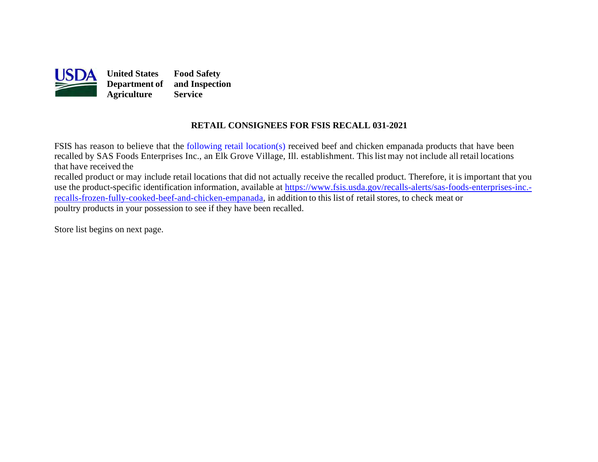

## **RETAIL CONSIGNEES FOR FSIS RECALL 031-2021**

FSIS has reason to believe that the [following retail location\(s\) r](#page-1-0)eceived beef and chicken empanada products that have been recalled by SAS Foods Enterprises Inc., an Elk Grove Village, Ill. establishment. This list may not include all retail locations that have received the

recalled product or may include retail locations that did not actually receive the recalled product. Therefore, it is important that you use the product-specific identification information, available at [https://www.fsis.usda.gov/recalls-alerts/sas-foods-enterprises-inc.](https://www.fsis.usda.gov/recalls-alerts/sas-foods-enterprises-inc.-recalls-frozen-fully-cooked-beef-and-chicken-empanada) [recalls-frozen-fully-cooked-beef-and-chicken-empanada,](https://www.fsis.usda.gov/recalls-alerts/sas-foods-enterprises-inc.-recalls-frozen-fully-cooked-beef-and-chicken-empanada) in addition to this list of retail stores, to check meat or poultry products in your possession to see if they have been recalled.

Store list begins on [next page.](#page-1-0)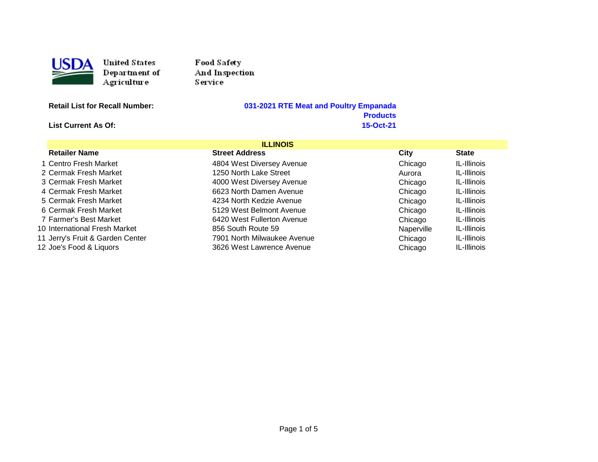<span id="page-1-0"></span>

Food Safety And Inspection Service

**Retail List for Recall Number: 031-2021 RTE Meat and Poultry Empanada**  Products<br>15-Oct-21

**List Current As Of:** 

| <b>ILLINOIS</b>                  |                             |            |             |
|----------------------------------|-----------------------------|------------|-------------|
| <b>Retailer Name</b>             | <b>Street Address</b>       | City       | State       |
| 1 Centro Fresh Market            | 4804 West Diversey Avenue   | Chicago    | IL-Illinois |
| 2 Cermak Fresh Market            | 1250 North Lake Street      | Aurora     | IL-Illinois |
| 3 Cermak Fresh Market            | 4000 West Diversey Avenue   | Chicago    | IL-Illinois |
| 4 Cermak Fresh Market            | 6623 North Damen Avenue     | Chicago    | IL-Illinois |
| 5 Cermak Fresh Market            | 4234 North Kedzie Avenue    | Chicago    | IL-Illinois |
| 6 Cermak Fresh Market            | 5129 West Belmont Avenue    | Chicago    | IL-Illinois |
| 7 Farmer's Best Market           | 6420 West Fullerton Avenue  | Chicago    | IL-Illinois |
| 10 International Fresh Market    | 856 South Route 59          | Naperville | IL-Illinois |
| 11 Jerry's Fruit & Garden Center | 7901 North Milwaukee Avenue | Chicago    | IL-Illinois |
| 12 Joe's Food & Liquors          | 3626 West Lawrence Avenue   | Chicago    | IL-Illinois |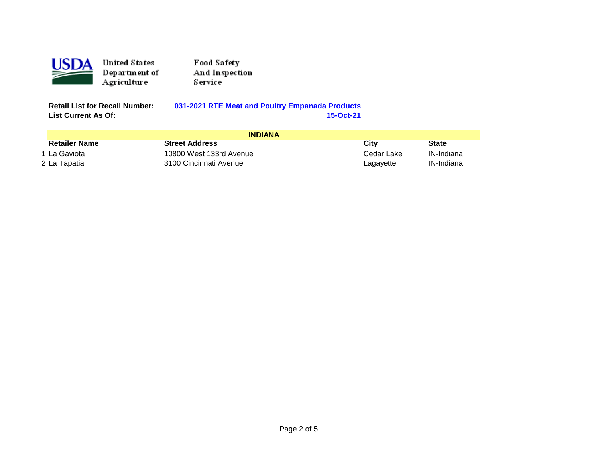

Food Safety And Inspection Service

**List Current As Of:** 

**Retail List for Recall Number: 031-2021 RTE Meat and Poultry Empanada Products**

| <b>INDIANA</b>       |                         |            |              |
|----------------------|-------------------------|------------|--------------|
| <b>Retailer Name</b> | <b>Street Address</b>   | Citv       | <b>State</b> |
| 1 La Gaviota         | 10800 West 133rd Avenue | Cedar Lake | IN-Indiana   |
| 2 La Tapatia         | 3100 Cincinnati Avenue  | Lagayette  | IN-Indiana   |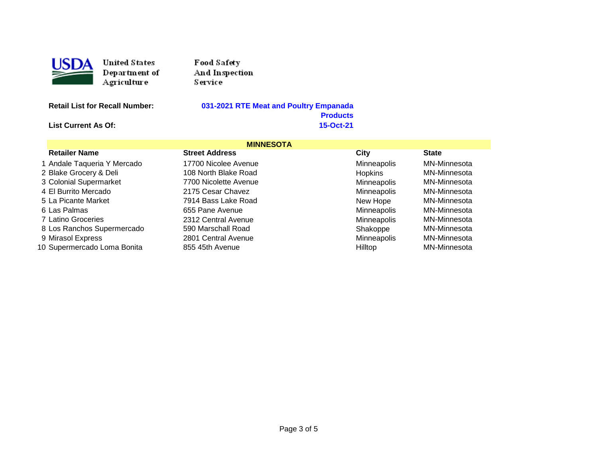

Food Safety And Inspection Service

## **Retail List for Recall Number: 031-2021 RTE Meat and Poultry Empanada**  Products<br>15-Oct-21

**List Current As Of:** 

|                             | <b>MINNESOTA</b>      |                |              |
|-----------------------------|-----------------------|----------------|--------------|
| <b>Retailer Name</b>        | <b>Street Address</b> | City           | <b>State</b> |
| 1 Andale Taqueria Y Mercado | 17700 Nicolee Avenue  | Minneapolis    | MN-Minnesota |
| 2 Blake Grocery & Deli      | 108 North Blake Road  | <b>Hopkins</b> | MN-Minnesota |
| 3 Colonial Supermarket      | 7700 Nicolette Avenue | Minneapolis    | MN-Minnesota |
| 4 El Burrito Mercado        | 2175 Cesar Chavez     | Minneapolis    | MN-Minnesota |
| 5 La Picante Market         | 7914 Bass Lake Road   | New Hope       | MN-Minnesota |
| 6 Las Palmas                | 655 Pane Avenue       | Minneapolis    | MN-Minnesota |
| 7 Latino Groceries          | 2312 Central Avenue   | Minneapolis    | MN-Minnesota |
| 8 Los Ranchos Supermercado  | 590 Marschall Road    | Shakoppe       | MN-Minnesota |
| 9 Mirasol Express           | 2801 Central Avenue   | Minneapolis    | MN-Minnesota |
| 10 Supermercado Loma Bonita | 855 45th Avenue       | Hilltop        | MN-Minnesota |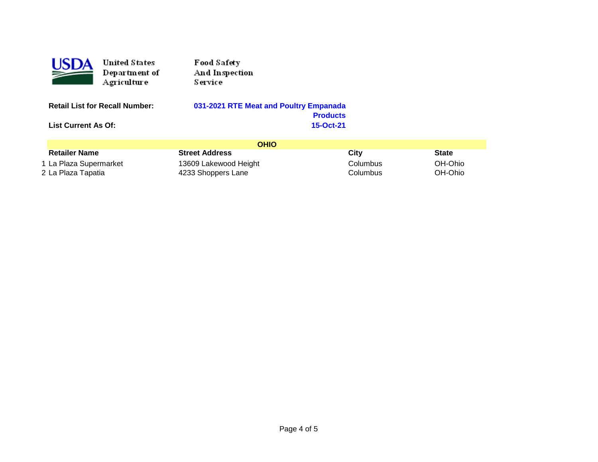| ۱DA                                   | <b>United States</b><br>Department of<br>Agriculture | Food Safety<br>And Inspection<br>Service |                 |      |  |              |
|---------------------------------------|------------------------------------------------------|------------------------------------------|-----------------|------|--|--------------|
| <b>Retail List for Recall Number:</b> |                                                      | 031-2021 RTE Meat and Poultry Empanada   |                 |      |  |              |
|                                       |                                                      |                                          | <b>Products</b> |      |  |              |
| <b>List Current As Of:</b>            |                                                      | 15-Oct-21                                |                 |      |  |              |
|                                       |                                                      |                                          |                 |      |  |              |
|                                       |                                                      |                                          | <b>OHIO</b>     |      |  |              |
| <b>Retailer Name</b>                  |                                                      | <b>Street Address</b>                    |                 | City |  | <b>State</b> |

1 La Plaza Supermarket 13609 Lakewood Height Columbus OH-Ohio 2 La Plaza Tapatia 4233 Shoppers Lane Columbus OH-Ohio